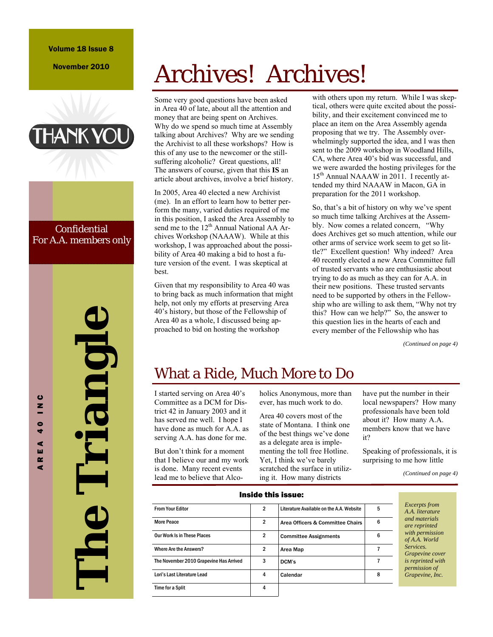### Volume 18 Issue 8

November 2010



### **Confidential** For A.A. members only

# **The Triangle**  Lriangle

# Archives! Archives!

Some very good questions have been asked in Area 40 of late, about all the attention and money that are being spent on Archives. Why do we spend so much time at Assembly talking about Archives? Why are we sending the Archivist to all these workshops? How is this of any use to the newcomer or the stillsuffering alcoholic? Great questions, all! The answers of course, given that this **IS** an article about archives, involve a brief history.

In 2005, Area 40 elected a new Archivist (me). In an effort to learn how to better perform the many, varied duties required of me in this position, I asked the Area Assembly to send me to the  $12<sup>th</sup>$  Annual National AA Archives Workshop (NAAAW). While at this workshop, I was approached about the possibility of Area 40 making a bid to host a future version of the event. I was skeptical at best.

Given that my responsibility to Area 40 was to bring back as much information that might help, not only my efforts at preserving Area 40's history, but those of the Fellowship of Area 40 as a whole, I discussed being approached to bid on hosting the workshop

with others upon my return. While I was skeptical, others were quite excited about the possibility, and their excitement convinced me to place an item on the Area Assembly agenda proposing that we try. The Assembly overwhelmingly supported the idea, and I was then sent to the 2009 workshop in Woodland Hills, CA, where Area 40's bid was successful, and we were awarded the hosting privileges for the 15<sup>th</sup> Annual NAAAW in 2011. I recently attended my third NAAAW in Macon, GA in preparation for the 2011 workshop.

So, that's a bit of history on why we've spent so much time talking Archives at the Assembly. Now comes a related concern, "Why does Archives get so much attention, while our other arms of service work seem to get so little?" Excellent question! Why indeed? Area 40 recently elected a new Area Committee full of trusted servants who are enthusiastic about trying to do as much as they can for A.A. in their new positions. These trusted servants need to be supported by others in the Fellowship who are willing to ask them, "Why not try this? How can we help?" So, the answer to this question lies in the hearts of each and every member of the Fellowship who has

*(Continued on page 4)* 

# What a Ride, Much More to Do

I started serving on Area 40's Committee as a DCM for District 42 in January 2003 and it has served me well. I hope I have done as much for A.A. as serving A.A. has done for me.

But don't think for a moment that I believe our and my work is done. Many recent events lead me to believe that Alcoholics Anonymous, more than ever, has much work to do.

Area 40 covers most of the state of Montana. I think one of the best things we've done as a delegate area is implementing the toll free Hotline. Yet, I think we've barely scratched the surface in utilizing it. How many districts

have put the number in their local newspapers? How many professionals have been told about it? How many A.A. members know that we have it?

Speaking of professionals, it is surprising to me how little

*(Continued on page 4)* 

| Inside this issue:                      |                |                                          |   |  |
|-----------------------------------------|----------------|------------------------------------------|---|--|
| <b>From Your Editor</b>                 | $\mathbf{2}$   | Literature Available on the A.A. Website | 5 |  |
| <b>More Peace</b>                       | 2              | Area Officers & Committee Chairs         | 6 |  |
| <b>Our Work Is in These Places</b>      | $\overline{2}$ | <b>Committee Assignments</b>             | 6 |  |
| Where Are the Answers?                  | 2              | Area Map                                 |   |  |
| The November 2010 Grapevine Has Arrived | 3              | DCM's                                    |   |  |
| Lori's Last Literature Lead             | 4              | Calendar                                 | 8 |  |
| <b>Time for a Split</b>                 | 4              |                                          |   |  |

*Excerpts from A.A. literature and materials are reprinted with permission of A.A. World Services. Grapevine cover is reprinted with permission of Grapevine, Inc.* 

### AREA 40 INC  $\mathbf{c}$  $\overline{a}$  $\bullet$ ÷ ⋖ ш  $\sim$ d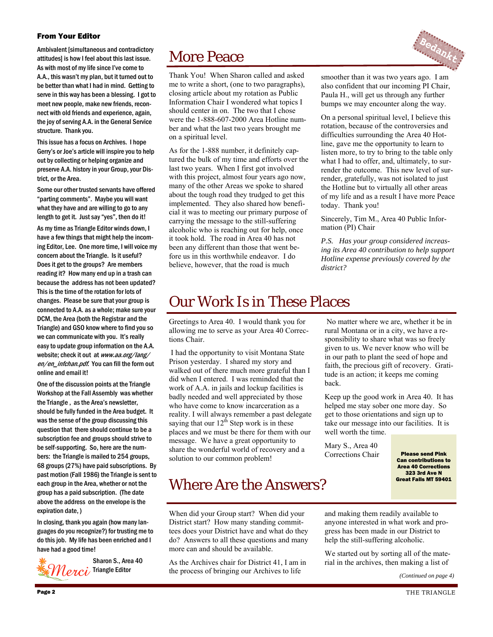### From Your Editor

Ambivalent [simultaneous and contradictory attitudes] is how I feel about this last issue. As with most of my life since I've come to A.A., this wasn't my plan, but it turned out to be better than what I had in mind. Getting to serve in this way has been a blessing. I got to meet new people, make new friends, reconnect with old friends and experience, again, the joy of serving A.A. in the General Service structure. Thank you.

This issue has a focus on Archives. I hope Gerry's or Joe's article will inspire you to help out by collecting or helping organize and preserve A.A. history in your Group, your District, or the Area.

Some our other trusted servants have offered "parting comments". Maybe you will want what they have and are willing to go to any length to get it. Just say "yes", then do it!

As my time as Triangle Editor winds down, I have a few things that might help the incoming Editor, Lee. One more time, I will voice my concern about the Triangle. Is it useful? Does it get to the groups? Are members reading it? How many end up in a trash can because the address has not been updated? This is the time of the rotation for lots of changes. Please be sure that your group is connected to A.A. as a whole; make sure your DCM, the Area (both the Registrar and the Triangle) and GSO know where to find you so we can communicate with you. It's really easy to update group information on the A.A. website; check it out at www.aa.org/lang/ en/en\_infchan.pdf. You can fill the form out online and email it!

One of the discussion points at the Triangle Workshop at the Fall Assembly was whether the Triangle , as the Area's newsletter, should be fully funded in the Area budget. It was the sense of the group discussing this question that there should continue to be a subscription fee and groups should strive to be self-supporting. So, here are the numbers: the Triangle is mailed to 254 groups, 68 groups (27%) have paid subscriptions. By past motion (Fall 1986) the Triangle is sent to each group in the Area, whether or not the group has a paid subscription. (The date above the address on the envelope is the expiration date, )

In closing, thank you again (how many languages do you recognize?) for trusting me to do this job. My life has been enriched and I have had a good time!



More Peace

Thank You! When Sharon called and asked me to write a short, (one to two paragraphs), closing article about my rotation as Public Information Chair I wondered what topics I should center in on. The two that I chose were the 1-888-607-2000 Area Hotline number and what the last two years brought me on a spiritual level.

As for the 1-888 number, it definitely captured the bulk of my time and efforts over the last two years. When I first got involved with this project, almost four years ago now, many of the other Areas we spoke to shared about the tough road they trudged to get this implemented. They also shared how beneficial it was to meeting our primary purpose of carrying the message to the still-suffering alcoholic who is reaching out for help, once it took hold. The road in Area 40 has not been any different than those that went before us in this worthwhile endeavor. I do believe, however, that the road is much



On a personal spiritual level, I believe this rotation, because of the controversies and difficulties surrounding the Area 40 Hotline, gave me the opportunity to learn to listen more, to try to bring to the table only what I had to offer, and, ultimately, to surrender the outcome. This new level of surrender, gratefully, was not isolated to just the Hotline but to virtually all other areas of my life and as a result I have more Peace today. Thank you!

Sincerely, Tim M., Area 40 Public Information (PI) Chair

*P.S. Has your group considered increasing its Area 40 contribution to help support Hotline expense previously covered by the district?* 

# Our Work Is in These Places

Greetings to Area 40. I would thank you for allowing me to serve as your Area 40 Corrections Chair.

 I had the opportunity to visit Montana State Prison yesterday. I shared my story and walked out of there much more grateful than I did when I entered. I was reminded that the work of A.A. in jails and lockup facilities is badly needed and well appreciated by those who have come to know incarceration as a reality. I will always remember a past delegate saying that our  $12<sup>th</sup>$  Step work is in these places and we must be there for them with our message. We have a great opportunity to share the wonderful world of recovery and a solution to our common problem!

## Where Are the Answers?

When did your Group start? When did your District start? How many standing committees does your District have and what do they do? Answers to all these questions and many more can and should be available.

As the Archives chair for District 41, I am in the process of bringing our Archives to life

 No matter where we are, whether it be in rural Montana or in a city, we have a responsibility to share what was so freely given to us. We never know who will be in our path to plant the seed of hope and faith, the precious gift of recovery. Gratitude is an action; it keeps me coming back.

Keep up the good work in Area 40. It has helped me stay sober one more day. So get to those orientations and sign up to take our message into our facilities. It is well worth the time.

Mary S., Area 40 Corrections Chair

Please send Pink Can contributions to Area 40 Corrections 323 3rd Ave N Great Falls MT 59401

and making them readily available to anyone interested in what work and progress has been made in our District to help the still-suffering alcoholic.

We started out by sorting all of the material in the archives, then making a list of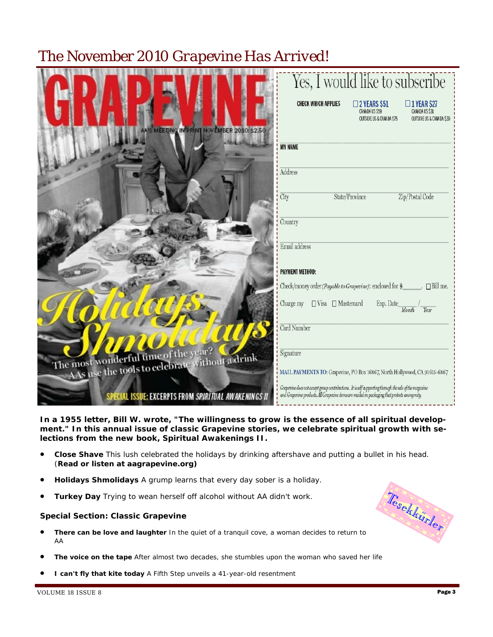# The November 2010 *Grapevine Has Arrived!*

|                                                                                        | Yes, I would like to subscribe                                                                                                                                                                        |
|----------------------------------------------------------------------------------------|-------------------------------------------------------------------------------------------------------------------------------------------------------------------------------------------------------|
|                                                                                        | <b>CHECK WHICH APPLIES</b><br>$\square$ 2 YEARS \$51<br>$\Box$ 1 YEAR \$27<br>CANADA US \$31<br>CANADA US \$59<br>OUTSIDE US & CANA DA \$39<br>OUTSIDE US & CANADA \$75                               |
| AA'S MEETING IN PRINT NOVEMBER 2010:\$2.50                                             | <b>MY NAME</b>                                                                                                                                                                                        |
|                                                                                        | Address                                                                                                                                                                                               |
|                                                                                        | City<br>State/Province<br>Zip/Postal Code                                                                                                                                                             |
|                                                                                        | Country                                                                                                                                                                                               |
|                                                                                        | Email address                                                                                                                                                                                         |
|                                                                                        | <b>PAYMENT METHOD:</b>                                                                                                                                                                                |
|                                                                                        | Check/money order (Payable to Grapevine): enclosed for \$<br>$\Box$ Bill me.                                                                                                                          |
|                                                                                        | $\Box$ Visa $\Box$ Mastercard<br>Charge my<br>Exp. Date<br>Month.<br>Year                                                                                                                             |
|                                                                                        | Card Number                                                                                                                                                                                           |
| The most wonderful time of the year?<br>AAs use the tools to celebrate without a drink | Signature                                                                                                                                                                                             |
|                                                                                        | MAIL PAYMENTS TO: Grapevine, PO Box 16867, North Hollywood, CA 91615-6867                                                                                                                             |
| SPECIAL ISSUE: EXCERPTS FROM SPIRITUAL AWAKENINGS II                                   | Grapevine does not accept group contributions. It is self supporting through the sale of the magazine<br>and Grapevine products. All Grapevine items are mailed in packaging that protects anonymity. |

**In a 1955 letter, Bill W. wrote, "The willingness to grow is the essence of all spiritual development." In this annual issue of classic Grapevine stories, we celebrate spiritual growth with selections from the new book,** *Spiritual Awakenings II***.**

- **Close Shave** *This lush celebrated the holidays by drinking aftershave and putting a bullet in his head.* (*Read or listen at aagrapevine.org)*
- **Holidays Shmolidays** *A grump learns that every day sober is a holiday.*
- **Turkey Day** *Trying to wean herself off alcohol without AA didn't work.*

### **Special Section: Classic Grapevine**

- **There can be love and laughter** *In the quiet of a tranquil cove, a woman decides to return to AA*
- **The voice on the tape** *After almost two decades, she stumbles upon the woman who saved her life*
- **I can't fly that kite today** *A Fifth Step unveils a 41-year-old resentment*

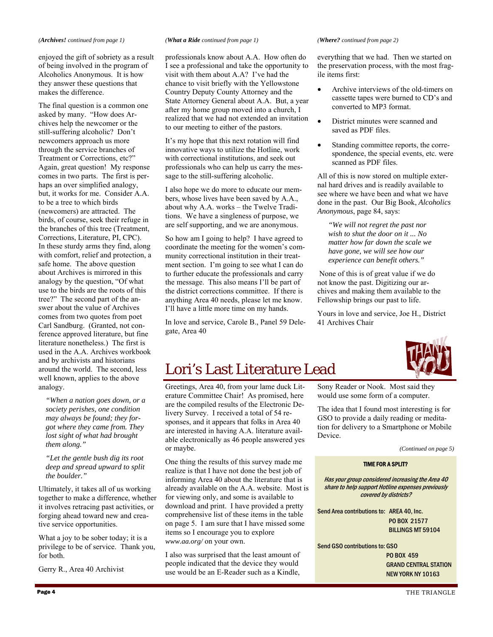### *(Archives! continued from page 1)*

enjoyed the gift of sobriety as a result of being involved in the program of Alcoholics Anonymous. It is how they answer these questions that makes the difference.

The final question is a common one asked by many. "How does Archives help the newcomer or the still-suffering alcoholic? Don't newcomers approach us more through the service branches of Treatment or Corrections, etc?" Again, great question! My response comes in two parts. The first is perhaps an over simplified analogy, but, it works for me. Consider A.A. to be a tree to which birds (newcomers) are attracted. The birds, of course, seek their refuge in the branches of this tree (Treatment, Corrections, Literature, PI, CPC). In these sturdy arms they find, along with comfort, relief and protection, a safe home. The above question about Archives is mirrored in this analogy by the question, "Of what use to the birds are the roots of this tree?" The second part of the answer about the value of Archives comes from two quotes from poet Carl Sandburg. (Granted, not conference approved literature, but fine literature nonetheless.) The first is used in the A.A. Archives workbook and by archivists and historians around the world. The second, less well known, applies to the above analogy.

*"When a nation goes down, or a society perishes, one condition may always be found; they forgot where they came from. They lost sight of what had brought them along."* 

*"Let the gentle bush dig its root deep and spread upward to split the boulder."* 

Ultimately, it takes all of us working together to make a difference, whether it involves retracing past activities, or forging ahead toward new and creative service opportunities.

What a joy to be sober today; it is a privilege to be of service. Thank you, for both.

Gerry R., Area 40 Archivist

### *(What a Ride continued from page 1)*

professionals know about A.A. How often do I see a professional and take the opportunity to visit with them about A.A? I've had the chance to visit briefly with the Yellowstone Country Deputy County Attorney and the State Attorney General about A.A. But, a year after my home group moved into a church, I realized that we had not extended an invitation to our meeting to either of the pastors.

It's my hope that this next rotation will find innovative ways to utilize the Hotline, work with correctional institutions, and seek out professionals who can help us carry the message to the still-suffering alcoholic.

I also hope we do more to educate our members, whose lives have been saved by A.A., about why A.A. works – the Twelve Traditions. We have a singleness of purpose, we are self supporting, and we are anonymous.

So how am I going to help? I have agreed to coordinate the meeting for the women's community correctional institution in their treatment section. I'm going to see what I can do to further educate the professionals and carry the message. This also means I'll be part of the district corrections committee. If there is anything Area 40 needs, please let me know. I'll have a little more time on my hands.

In love and service, Carole B., Panel 59 Delegate, Area 40

### *(Where? continued from page 2)*

everything that we had. Then we started on the preservation process, with the most fragile items first:

- Archive interviews of the old-timers on cassette tapes were burned to CD's and converted to MP3 format.
- District minutes were scanned and saved as PDF files.
- Standing committee reports, the correspondence, the special events, etc. were scanned as PDF files.

All of this is now stored on multiple external hard drives and is readily available to see where we have been and what we have done in the past. Our Big Book, *Alcoholics Anonymous*, page 84, says:

*"We will not regret the past nor wish to shut the door on it ... No matter how far down the scale we have gone, we will see how our experience can benefit others."* 

 None of this is of great value if we do not know the past. Digitizing our archives and making them available to the Fellowship brings our past to life.

Yours in love and service, Joe H., District 41 Archives Chair



# Lori's Last Literature Lead

Greetings, Area 40, from your lame duck Literature Committee Chair! As promised, here are the compiled results of the Electronic Delivery Survey. I received a total of 54 responses, and it appears that folks in Area 40 are interested in having A.A. literature available electronically as 46 people answered yes or maybe.

One thing the results of this survey made me realize is that I have not done the best job of informing Area 40 about the literature that is already available on the A.A. website. Most is for viewing only, and some is available to download and print. I have provided a pretty comprehensive list of these items in the table on page 5. I am sure that I have missed some items so I encourage you to explore *www.aa.org/* on your own.

I also was surprised that the least amount of people indicated that the device they would use would be an E-Reader such as a Kindle, Sony Reader or Nook. Most said they would use some form of a computer.

The idea that I found most interesting is for GSO to provide a daily reading or meditation for delivery to a Smartphone or Mobile Device.

*(Continued on page 5)* 

### TIME FOR A SPLIT?

Has your group considered increasing the Area 40 share to help support Hotline expenses previously covered by districts?

Send Area contributions to: AREA 40, Inc.

 PO BOX 21577 BILLINGS MT 59104

Send GSO contributions to: GSO

 PO BOX 459 GRAND CENTRAL STATION NEW YORK NY 10163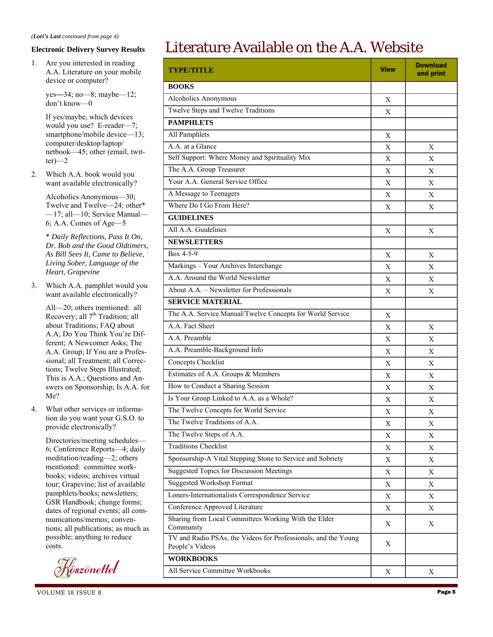### **Electronic Delivery Survey Results**

1. Are you interested in reading A.A. Literature on your mobile device or computer?

> yes—34; no—8; maybe—12; don't know—0

If yes/maybe, which devices would you use? E-reader—7; smartphone/mobile device-13; computer/desktop/laptop/ netbook—45; other (email, twit $ter)$ —2

2. Which A.A. book would you want available electronically?

> Alcoholics Anonymous—30; Twelve and Twelve—24; other\* —17; all—10; Service Manual— 6; A.A. Comes of Age—5

> \* *Daily Reflections, Pass It On, Dr. Bob and the Good Oldtimers, As Bill Sees It, Came to Believe, Living Sober, Language of the Heart, Grapevine*

3. Which A.A. pamphlet would you want available electronically?

> All—20; others mentioned: all Recovery; all 7<sup>th</sup> Tradition; all about Traditions; FAQ about A.A; Do You Think You're Different; A Newcomer Asks; The A.A. Group; If You are a Professional; all Treatment; all Corrections; Twelve Steps Illustrated; This is A.A.; Questions and Answers on Sponsorship; Is A.A. for Me?

4. What other services or information do you want your G.S.O. to provide electronically?

> Directories/meeting schedules— 6; Conference Reports—4; daily meditation/reading—2; others mentioned: committee workbooks; videos; archives virtual tour; Grapevine; list of available pamphlets/books; newsletters; GSR Handbook; change forms; dates of regional events; all communications/memos; conventions; all publications; as much as possible; anything to reduce costs.

<u>f</u><br><sub>V</sub>öszönettel

# Literature Available on the A.A. Website

| <b>TYPE/TITLE</b>                                                                 | <b>View</b> | <b>Download</b><br>and print |
|-----------------------------------------------------------------------------------|-------------|------------------------------|
| <b>BOOKS</b>                                                                      |             |                              |
| Alcoholics Anonymous                                                              | X           |                              |
| Twelve Steps and Twelve Traditions                                                | X           |                              |
| <b>PAMPHLETS</b>                                                                  |             |                              |
| All Pamphlets                                                                     | X           |                              |
| A.A. at a Glance                                                                  | X           | X                            |
| Self Support: Where Money and Spirituality Mix                                    | X           | Χ                            |
| The A.A. Group Treasurer                                                          | X           | X                            |
| Your A.A. General Service Office                                                  | X           | Χ                            |
| A Message to Teenagers                                                            | X           | Χ                            |
| Where Do I Go From Here?                                                          | X           | Χ                            |
| <b>GUIDELINES</b>                                                                 |             |                              |
| All A.A. Guidelines                                                               | X           | Χ                            |
| <b>NEWSLETTERS</b>                                                                |             |                              |
| Box 4-5-9                                                                         | X           | Χ                            |
| Markings - Your Archives Interchange                                              | X           | X                            |
| A.A. Around the World Newsletter                                                  | X           | Χ                            |
| About A.A. - Newsletter for Professionals                                         | X           | Χ                            |
| <b>SERVICE MATERIAL</b>                                                           |             |                              |
| The A.A. Service Manual/Twelve Concepts for World Service                         | X           |                              |
| A.A. Fact Sheet                                                                   | X           | X                            |
| A.A. Preamble                                                                     | X           | Χ                            |
| A.A. Preamble-Background Info                                                     | X           | X                            |
| Concepts Checklist                                                                | X           | X                            |
| Estimates of A.A. Groups & Members                                                | X           | X                            |
| How to Conduct a Sharing Session                                                  | X           | Χ                            |
| Is Your Group Linked to A.A. as a Whole?                                          | X           | X                            |
| The Twelve Concepts for World Service                                             | X           | Χ                            |
| The Twelve Traditions of A.A.                                                     | X           | $\mathbf X$                  |
| The Twelve Steps of A.A.                                                          | X           | Χ                            |
| <b>Traditions Checklist</b>                                                       | Χ           | X                            |
| Sponsorship-A Vital Stepping Stone to Service and Sobriety                        | X           | X                            |
| <b>Suggested Topics for Discussion Meetings</b>                                   | X           | Χ                            |
| <b>Suggested Workshop Format</b>                                                  | X           | X                            |
| Loners-Internationalists Correspondence Service                                   | X           | Χ                            |
| Conference Approved Literature                                                    | X           | X                            |
| Sharing from Local Committees Working With the Elder<br>Community                 | X           | X                            |
| TV and Radio PSAs, the Videos for Professionals, and the Young<br>People's Videos | X           |                              |
| <b>WORKBOOKS</b>                                                                  |             |                              |
| All Service Committee Workbooks                                                   | X           | X                            |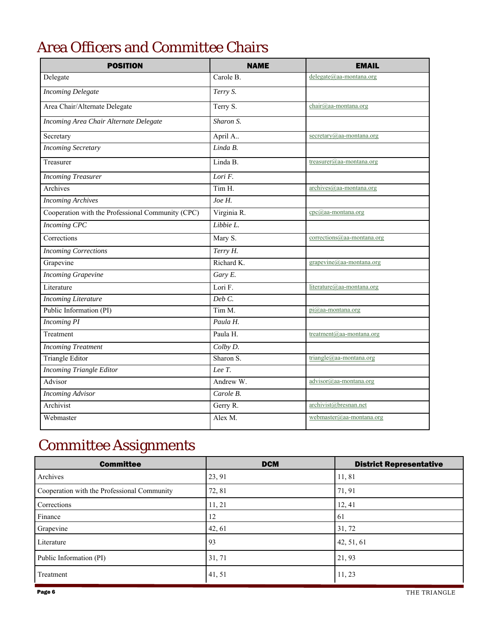# Area Officers and Committee Chairs

| <b>POSITION</b>                                   | <b>NAME</b> | <b>EMAIL</b>                    |
|---------------------------------------------------|-------------|---------------------------------|
| Delegate                                          | Carole B.   | delegate@aa-montana.org         |
| <b>Incoming Delegate</b>                          | Terry S.    |                                 |
| Area Chair/Alternate Delegate                     | Terry S.    | chair@aa-montana.org            |
| Incoming Area Chair Alternate Delegate            | Sharon S.   |                                 |
| Secretary                                         | April A     | secretary@aa-montana.org        |
| <b>Incoming Secretary</b>                         | Linda B.    |                                 |
| Treasurer                                         | Linda B.    | treasurer@aa-montana.org        |
| <b>Incoming Treasurer</b>                         | Lori F.     |                                 |
| Archives                                          | Tim H.      | $archives@aa$ -montana.org      |
| <b>Incoming Archives</b>                          | Joe H.      |                                 |
| Cooperation with the Professional Community (CPC) | Virginia R. | $cpc@aa$ -montana.org           |
| <b>Incoming CPC</b>                               | Libbie L.   |                                 |
| Corrections                                       | Mary S.     | $corrections(a)$ aa-montana.org |
| <b>Incoming Corrections</b>                       | Terry H.    |                                 |
| Grapevine                                         | Richard K.  | grapevine@aa-montana.org        |
| <b>Incoming Grapevine</b>                         | Gary E.     |                                 |
| Literature                                        | Lori F.     | literature@aa-montana.org       |
| <b>Incoming Literature</b>                        | Deb C.      |                                 |
| Public Information (PI)                           | Tim M.      | pi@aa-montana.org               |
| <b>Incoming PI</b>                                | Paula H.    |                                 |
| Treatment                                         | Paula H.    | treatment@aa-montana.org        |
| <b>Incoming Treatment</b>                         | Colby D.    |                                 |
| <b>Triangle Editor</b>                            | Sharon S.   | triangle@aa-montana.org         |
| <b>Incoming Triangle Editor</b>                   | Lee T.      |                                 |
| Advisor                                           | Andrew W.   | advisor@aa-montana.org          |
| <b>Incoming Advisor</b>                           | Carole B.   |                                 |
| Archivist                                         | Gerry R.    | archivist@bresnan.net           |
| Webmaster                                         | Alex M.     | webmaster@aa-montana.org        |

# Committee Assignments

| <b>Committee</b>                            | <b>DCM</b> | <b>District Representative</b> |
|---------------------------------------------|------------|--------------------------------|
| Archives                                    | 23, 91     | 11,81                          |
| Cooperation with the Professional Community | 72, 81     | 71, 91                         |
| Corrections                                 | 11, 21     | 12, 41                         |
| Finance                                     | 12         | 61                             |
| Grapevine                                   | 42, 61     | 31, 72                         |
| Literature                                  | 93         | 42, 51, 61                     |
| Public Information (PI)                     | 31, 71     | 21, 93                         |
| Treatment                                   | 41, 51     | 11, 23                         |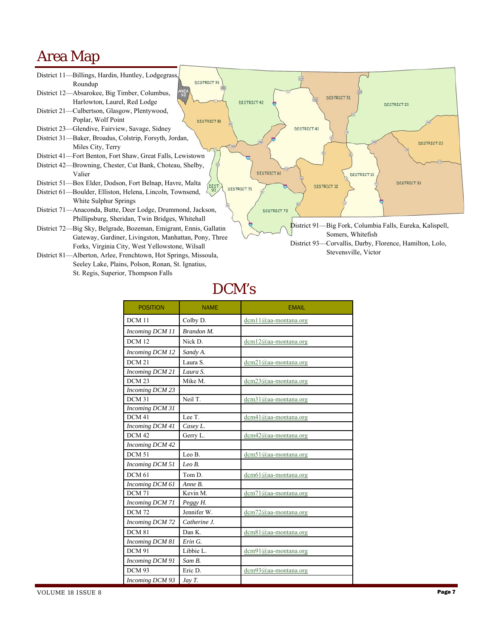# Area Map



# DCM's

| <b>POSITION</b>   | <b>NAME</b>  | <b>EMAIL</b>                  |
|-------------------|--------------|-------------------------------|
| DCM <sub>11</sub> | Colby D.     | $dcm11$ ( $Q$ )aa-montana.org |
| Incoming DCM 11   | Brandon M.   |                               |
| <b>DCM 12</b>     | Nick D.      | $dcm12$ @aa-montana.org       |
| Incoming DCM 12   | Sandy A.     |                               |
| <b>DCM 21</b>     | Laura S.     | $dcm21$ @aa-montana.org       |
| Incoming DCM 21   | Laura S.     |                               |
| DCM <sub>23</sub> | Mike M.      | $dcm23$ @aa-montana.org       |
| Incoming DCM 23   |              |                               |
| DCM 31            | Neil T.      | $dcm31$ @aa-montana.org       |
| Incoming DCM 31   |              |                               |
| DCM <sub>41</sub> | Lee T.       | dcm41@aa-montana.org          |
| Incoming DCM 41   | Casey L.     |                               |
| DCM <sub>42</sub> | Gerry L.     | $dcm42$ @aa-montana.org       |
| Incoming DCM 42   |              |                               |
| DCM <sub>51</sub> | Leo B.       | $dcm51$ @aa-montana.org       |
| Incoming DCM 51   | $LeoB$ .     |                               |
| DCM <sub>61</sub> | Tom D.       | dcm61@aa-montana.org          |
| Incoming DCM 61   | Anne B.      |                               |
| <b>DCM 71</b>     | Kevin M.     | $dcm71$ @aa-montana.org       |
| Incoming DCM 71   | Peggy H.     |                               |
| <b>DCM 72</b>     | Jennifer W.  | $dcm72$ @aa-montana.org       |
| Incoming DCM 72   | Catherine J. |                               |
| <b>DCM 81</b>     | Dan K.       | dcm81@aa-montana.org          |
| Incoming DCM 81   | Erin G.      |                               |
| <b>DCM 91</b>     | Libbie L.    | $dcm91$ @aa-montana.org       |
| Incoming DCM 91   | Sam B.       |                               |
| DCM 93            | Eric D.      | $dcm93$ @aa-montana.org       |
| Incoming DCM 93   | Jay T.       |                               |